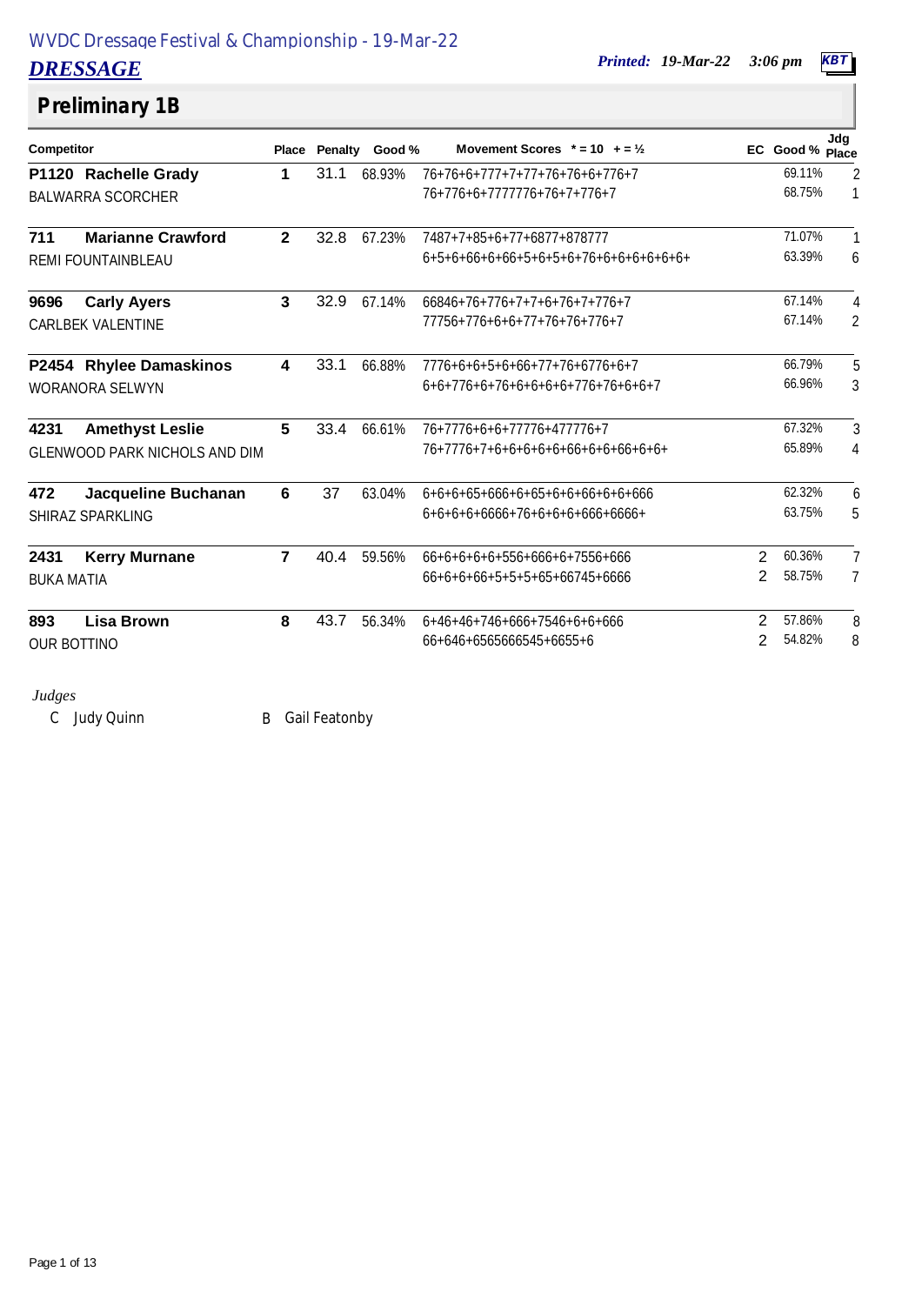*DRESSAGE Printed: 19-Mar-22 3:06 pm KBT*

# **Preliminary 1B**

| Competitor         |                                      |                | Place Penalty | Good % | Movement Scores $* = 10 + 2\frac{1}{2}$ |   | EC Good % Place | Jdg            |
|--------------------|--------------------------------------|----------------|---------------|--------|-----------------------------------------|---|-----------------|----------------|
|                    | P1120 Rachelle Grady                 | 1              | 31.1          | 68.93% | 76+76+6+777+7+77+76+76+6+776+7          |   | 69.11%          | $\overline{2}$ |
|                    | <b>BALWARRA SCORCHER</b>             |                |               |        | 76+776+6+7777776+76+7+776+7             |   | 68.75%          | 1              |
| 711                | <b>Marianne Crawford</b>             | $\mathbf{2}$   | 32.8          | 67.23% | 7487+7+85+6+77+6877+878777              |   | 71.07%          | 1              |
|                    | REMI FOUNTAINBLEAU                   |                |               |        | $6+5+6+66+6+66+5+6+5+6+76+6+6+6+6+6+6+$ |   | 63.39%          | 6              |
| 9696               | <b>Carly Ayers</b>                   | 3              | 32.9          | 67.14% | 66846+76+776+7+7+6+76+7+776+7           |   | 67.14%          | 4              |
|                    | <b>CARLBEK VALENTINE</b>             |                |               |        | 77756+776+6+6+77+76+76+776+7            |   | 67.14%          | $\overline{2}$ |
|                    | P2454 Rhylee Damaskinos              | 4              | 33.1          | 66.88% | 7776+6+6+5+6+66+77+76+6776+6+7          |   | 66.79%          | 5              |
|                    | <b>WORANORA SELWYN</b>               |                |               |        | $6+6+776+6+76+6+6+6+6+776+76+6+7$       |   | 66.96%          | 3              |
| 4231               | <b>Amethyst Leslie</b>               | 5              | 33.4          | 66.61% | 76+7776+6+6+77776+477776+7              |   | 67.32%          | 3              |
|                    | <b>GLENWOOD PARK NICHOLS AND DIM</b> |                |               |        | 76+7776+7+6+6+6+6+6+66+6+6+66+6+6+      |   | 65.89%          | 4              |
| 472                | Jacqueline Buchanan                  | 6              | 37            | 63.04% | 6+6+6+65+666+6+65+6+6+66+6+6+666        |   | 62.32%          | 6              |
|                    | SHIRAZ SPARKLING                     |                |               |        | $6+6+6+6+666+76+6+6+6+66+666+$          |   | 63.75%          | 5              |
| 2431               | <b>Kerry Murnane</b>                 | $\overline{7}$ | 40.4          | 59.56% | 66+6+6+6+6+556+666+6+7556+666           | 2 | 60.36%          | $\overline{7}$ |
| <b>BUKA MATIA</b>  |                                      |                |               |        | 66+6+6+66+5+5+5+65+66745+6666           | 2 | 58.75%          | 7              |
| 893                | <b>Lisa Brown</b>                    | 8              | 43.7          | 56.34% | 6+46+46+746+666+7546+6+6+666            | 2 | 57.86%          | 8              |
| <b>OUR BOTTINO</b> |                                      |                |               |        | 66+646+6565666545+6655+6                | 2 | 54.82%          | 8              |

### *Judges*

C Judy Quinn B Gail Featonby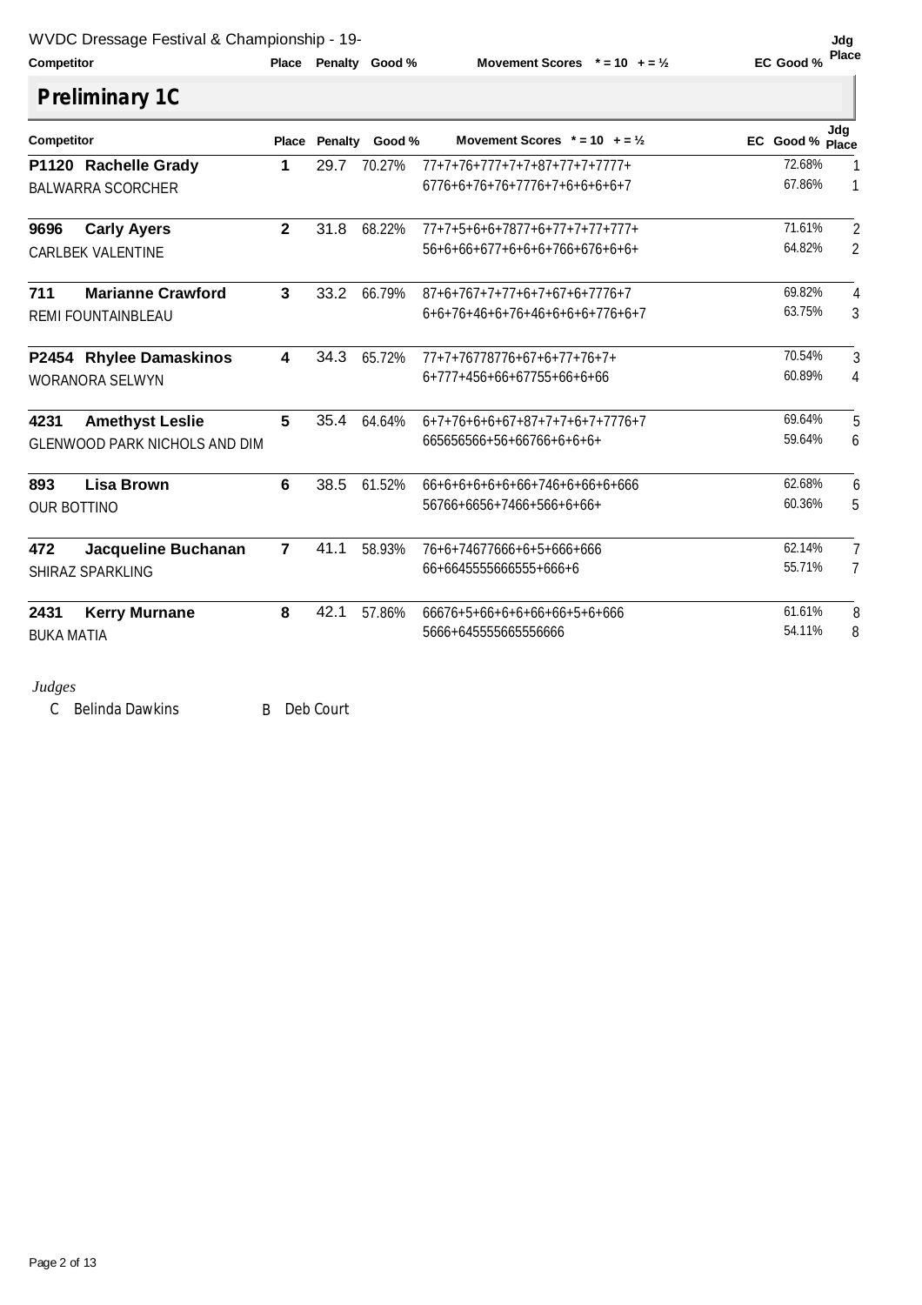**Competitor Competition Place Penalty Good**%

**Movement Scores**  $* = 10 + 5\frac{1}{2}$ 

# **Jdg**<br>EC Good % Place

| <b>Competitor</b>  |                                      | Place           | Penalty | Good % | Movement Scores $* = 10 + 2\frac{1}{2}$ | EC Good % Place | Jdq            |
|--------------------|--------------------------------------|-----------------|---------|--------|-----------------------------------------|-----------------|----------------|
|                    | P1120 Rachelle Grady                 | 1               | 29.7    | 70.27% | $77+7+76+777+7+7+87+77+7+7777+$         | 72.68%          |                |
|                    | <b>BALWARRA SCORCHER</b>             |                 |         |        | 6776+6+76+76+7776+7+6+6+6+6+7           | 67.86%          | $\mathbf{1}$   |
| 9696               | <b>Carly Ayers</b>                   | $\mathbf{2}$    | 31.8    | 68.22% | $77+7+5+6+6+7877+6+77+7+77+777+$        | 71.61%          | 2              |
|                    | <b>CARLBEK VALENTINE</b>             |                 |         |        | 56+6+66+677+6+6+6+766+676+6+6+          | 64.82%          | 2              |
| 711                | <b>Marianne Crawford</b>             | 3               | 33.2    | 66.79% | 87+6+767+7+77+6+7+67+6+7776+7           | 69.82%          | 4              |
|                    | <b>REMI FOUNTAINBLEAU</b>            |                 |         |        | 6+6+76+46+6+76+46+6+6+6+776+6+7         | 63.75%          | 3              |
|                    | P2454 Rhylee Damaskinos              | 4               | 34.3    | 65.72% | $77+7+76778776+67+6+77+76+7+$           | 70.54%          | 3              |
|                    | <b>WORANORA SELWYN</b>               |                 |         |        | 6+777+456+66+67755+66+6+66              | 60.89%          | 4              |
| 4231               | <b>Amethyst Leslie</b>               | 5               | 35.4    | 64.64% | 6+7+76+6+6+67+87+7+7+6+7+7776+7         | 69.64%          | 5              |
|                    | <b>GLENWOOD PARK NICHOLS AND DIM</b> |                 |         |        | 665656566+56+66766+6+6+6+               | 59.64%          | 6              |
| 893                | <b>Lisa Brown</b>                    | $6\phantom{1}6$ | 38.5    | 61.52% | $66+6+6+6+6+6+6+746+6+6+6+6+66$         | 62.68%          | 6              |
| <b>OUR BOTTINO</b> |                                      |                 |         |        | 56766+6656+7466+566+6+66+               | 60.36%          | 5              |
| 472                | Jacqueline Buchanan                  | $\overline{7}$  | 41.1    | 58.93% | 76+6+74677666+6+5+666+666               | 62.14%          | 7              |
|                    | SHIRAZ SPARKLING                     |                 |         |        | 66+6645555666555+666+6                  | 55.71%          | $\overline{7}$ |
| 2431               | <b>Kerry Murnane</b>                 | 8               | 42.1    | 57.86% | 66676+5+66+6+6+66+66+5+6+666            | 61.61%          | 8              |
| <b>BUKA MATIA</b>  |                                      |                 |         |        | 5666+645555665556666                    | 54.11%          | 8              |

### *Judges*

C Belinda Dawkins B Deb Court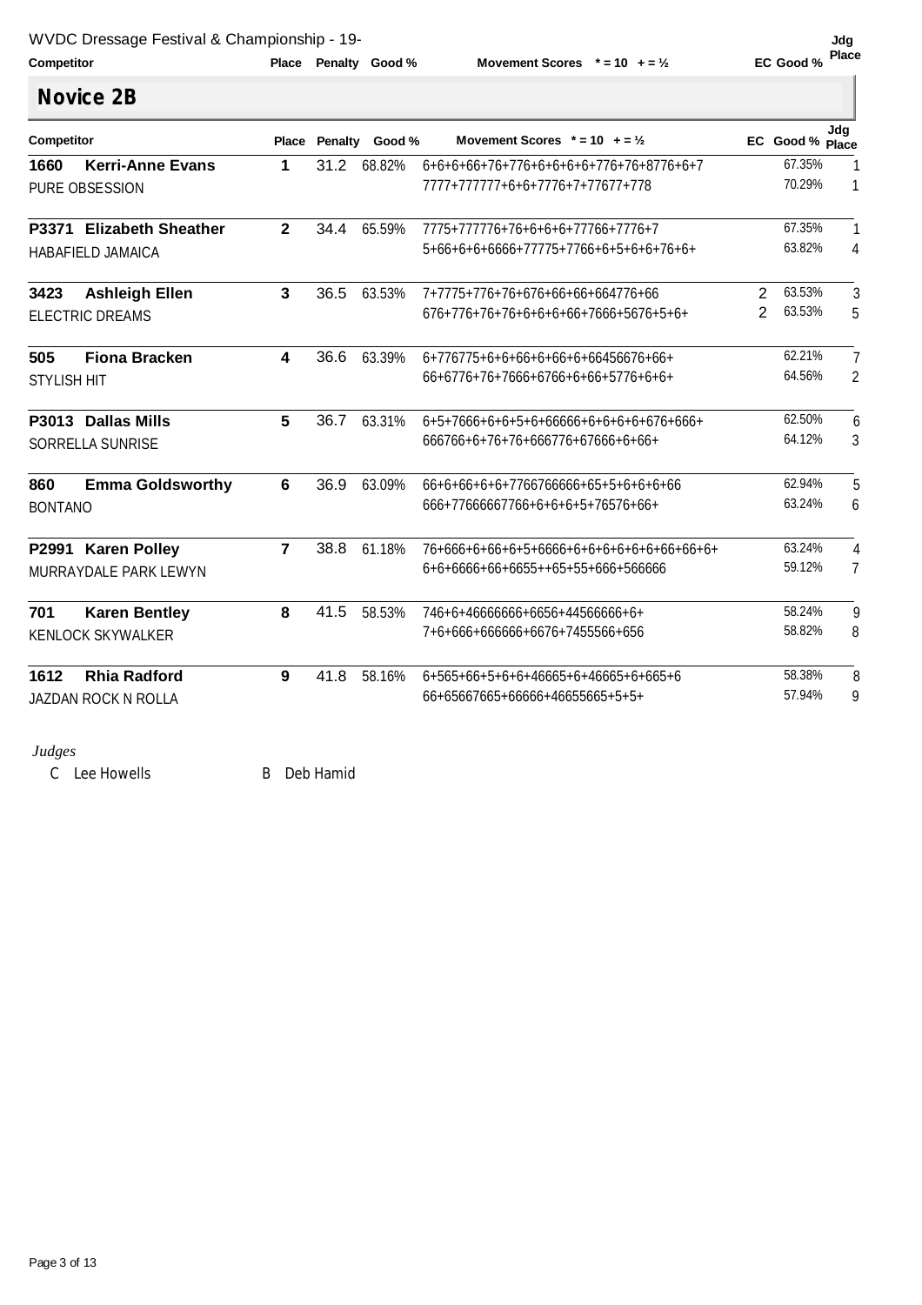| Competitor. |  |  |
|-------------|--|--|

**Competitor Competition Place Penalty Good**%

**Movement Scores**  $* = 10 + 2\frac{1}{2}$ 

Jdg<br>EC Good % Place

ľ

|                    | <b>Novice 2B</b>         |                |           |                |                                           |                |                 |                |
|--------------------|--------------------------|----------------|-----------|----------------|-------------------------------------------|----------------|-----------------|----------------|
| Competitor         |                          | Place          |           | Penalty Good % | Movement Scores $* = 10 + 2\frac{1}{2}$   |                | EC Good % Place | Jda            |
| 1660               | <b>Kerri-Anne Evans</b>  | 1              |           | 31.2 68.82%    | 6+6+6+66+76+776+6+6+6+6+776+76+8776+6+7   |                | 67.35%          | 1              |
|                    | PURE OBSESSION           |                |           |                | 7777+77777+6+6+7776+7+77677+778           |                | 70.29%          | 1              |
|                    | P3371 Elizabeth Sheather | $\mathbf{2}$   | 34.4      | 65.59%         | 7775+777776+76+6+6+6+77766+7776+7         |                | 67.35%          | 1              |
|                    | <b>HABAFIELD JAMAICA</b> |                |           |                | 5+66+6+6+6666+77775+7766+6+5+6+6+76+6+    |                | 63.82%          | $\overline{4}$ |
| 3423               | <b>Ashleigh Ellen</b>    | $\mathbf{3}$   | 36.5      | 63.53%         | 7+7775+776+76+676+66+66+664776+66         | 2              | 63.53%          | 3              |
|                    | <b>ELECTRIC DREAMS</b>   |                |           |                | 676+776+76+76+6+6+6+66+7666+5676+5+6+     | $\overline{2}$ | 63.53%          | 5              |
| 505                | <b>Fiona Bracken</b>     | 4              | 36.6      | 63.39%         | 6+776775+6+6+66+6+66+6+66456676+66+       |                | 62.21%          | 7              |
| <b>STYLISH HIT</b> |                          |                |           |                | 66+6776+76+7666+6766+6+66+5776+6+6+       |                | 64.56%          | $\overline{2}$ |
|                    | P3013 Dallas Mills       | 5              | 36.7      | 63.31%         | 6+5+7666+6+6+5+6+66666+6+6+6+6+676+666+   |                | 62.50%          | 6              |
|                    | <b>SORRELLA SUNRISE</b>  |                |           |                | 666766+6+76+76+666776+67666+6+66+         |                | 64.12%          | 3              |
| 860                | <b>Emma Goldsworthy</b>  | 6              | 36.9      | 63.09%         | 66+6+66+6+6+7766766666+65+5+6+6+6+66      |                | 62.94%          | 5              |
| <b>BONTANO</b>     |                          |                |           |                | 666+77666667766+6+6+6+5+76576+66+         |                | 63.24%          | 6              |
|                    | P2991 Karen Polley       | $\overline{7}$ | 38.8      | 61.18%         | 76+666+6+66+6+5+6666+6+6+6+6+6+6+66+66+6+ |                | 63.24%          | 4              |
|                    | MURRAYDALE PARK LEWYN    |                |           |                | 6+6+6666+66+6655++65+55+666+566666        |                | 59.12%          | 7              |
| 701                | <b>Karen Bentley</b>     | 8              | 41.5      | 58.53%         | 746+6+46666666+6656+44566666+6+           |                | 58.24%          | 9              |
|                    | <b>KENLOCK SKYWALKER</b> |                |           |                | 7+6+666+666666+6676+7455566+656           |                | 58.82%          | 8              |
| 1612               | <b>Rhia Radford</b>      | 9              | 41.8      | 58.16%         | 6+565+66+5+6+6+46665+6+46665+6+665+6      |                | 58.38%          | 8              |
|                    | JAZDAN ROCK N ROLLA      |                |           |                | 66+65667665+66666+46655665+5+5+           |                | 57.94%          | 9              |
| Judges             |                          |                |           |                |                                           |                |                 |                |
|                    | C Lee Howells            | B.             | Deb Hamid |                |                                           |                |                 |                |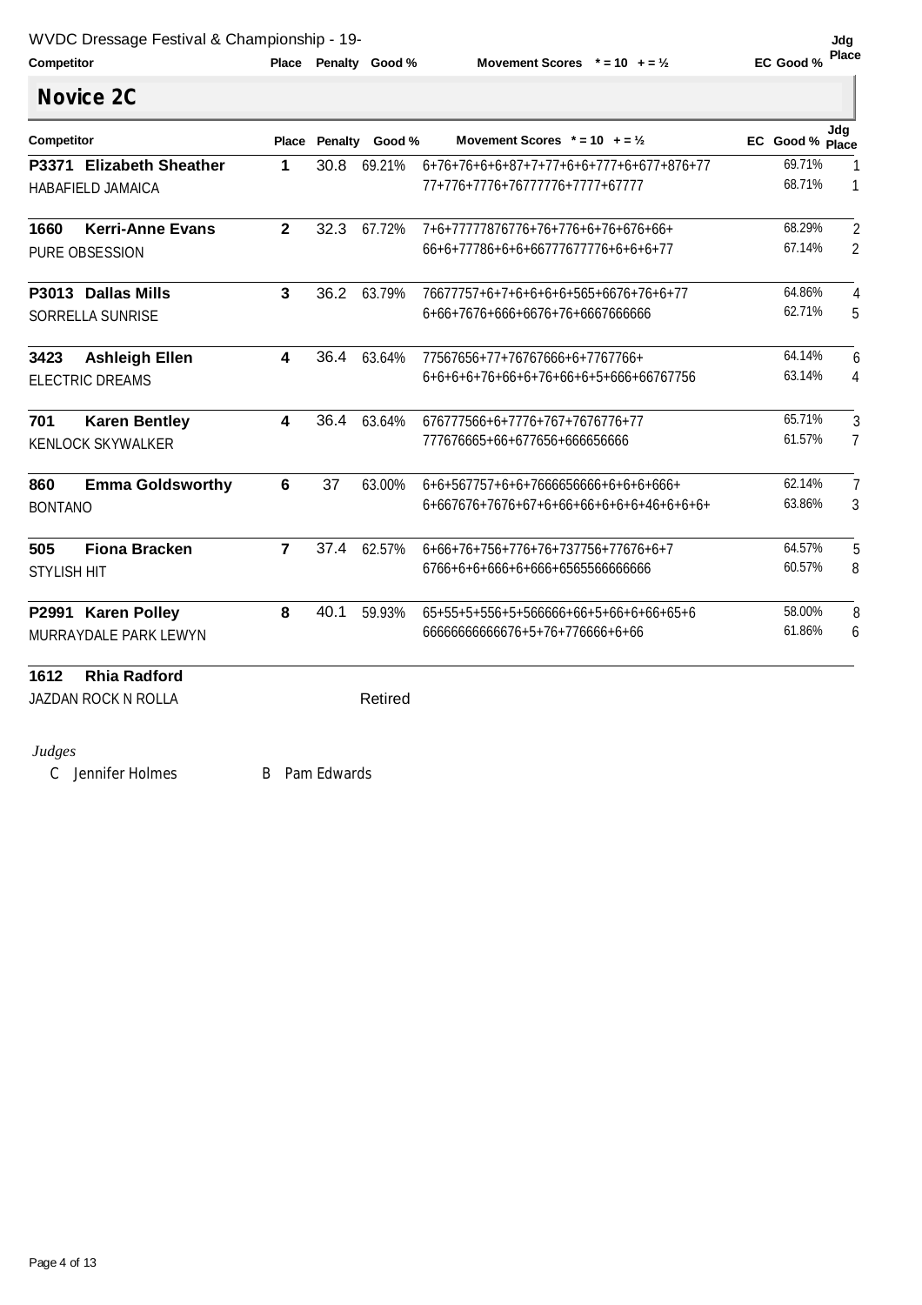| Competitor |  |  |
|------------|--|--|

**Competitor Competition Place Penalty Good**<sup>%</sup>

**Place Replace Photo Scores**  $* = 10 + 5\frac{1}{2}$ 

ľ

|                    | <b>Novice 2C</b>         |                         |      |                      |                                          |                 |                |
|--------------------|--------------------------|-------------------------|------|----------------------|------------------------------------------|-----------------|----------------|
| Competitor         |                          |                         |      | Place Penalty Good % | Movement Scores $* = 10 + 2\frac{1}{2}$  | EC Good % Place | Jdg            |
|                    | P3371 Elizabeth Sheather | 1                       | 30.8 | 69.21%               | 6+76+76+6+6+87+7+77+6+6+777+6+677+876+77 | 69.71%          | 1              |
|                    | <b>HABAFIELD JAMAICA</b> |                         |      |                      | 77+776+7776+76777776+7777+67777          | 68.71%          | $\mathbf{1}$   |
| 1660               | <b>Kerri-Anne Evans</b>  | $\overline{2}$          | 32.3 | 67.72%               | 7+6+77777876776+76+776+6+76+676+66+      | 68.29%          | $\overline{2}$ |
|                    | PURE OBSESSION           |                         |      |                      | 66+6+77786+6+6+66777677776+6+6+6+77      | 67.14%          | $\overline{2}$ |
|                    | P3013 Dallas Mills       | 3                       | 36.2 | 63.79%               | 76677757+6+7+6+6+6+6+565+6676+76+6+77    | 64.86%          | 4              |
|                    | <b>SORRELLA SUNRISE</b>  |                         |      |                      | 6+66+7676+666+6676+76+6667666666         | 62.71%          | 5              |
| 3423               | <b>Ashleigh Ellen</b>    | 4                       | 36.4 | 63.64%               | 77567656+77+76767666+6+7767766+          | 64.14%          | 6              |
|                    | <b>ELECTRIC DREAMS</b>   |                         |      |                      | 6+6+6+6+76+66+6+76+66+6+5+666+66767756   | 63.14%          | 4              |
| 701                | <b>Karen Bentley</b>     | $\overline{\mathbf{4}}$ | 36.4 | 63.64%               | 676777566+6+7776+767+7676776+77          | 65.71%          | 3              |
|                    | <b>KENLOCK SKYWALKER</b> |                         |      |                      | 777676665+66+677656+666656666            | 61.57%          | 7              |
| 860                | <b>Emma Goldsworthy</b>  | 6                       | 37   | 63.00%               | 6+6+567757+6+6+7666656666+6+6+6+666+     | 62.14%          | 7              |
| <b>BONTANO</b>     |                          |                         |      |                      |                                          | 63.86%          | 3              |
| 505                | <b>Fiona Bracken</b>     | $\overline{7}$          | 37.4 | 62.57%               | 6+66+76+756+776+76+737756+77676+6+7      | 64.57%          | 5              |
| <b>STYLISH HIT</b> |                          |                         |      |                      | 6766+6+6+666+6+666+6565566666666         | 60.57%          | 8              |
|                    | P2991 Karen Polley       | 8                       | 40.1 | 59.93%               | 65+55+5+556+5+566666+66+5+66+6+66+65+6   | 58.00%          | 8              |
|                    | MURRAYDALE PARK LEWYN    |                         |      |                      | 6666666666676+5+76+776666+6+66           | 61.86%          | 6              |
| 1612               | <b>Rhia Radford</b>      |                         |      |                      |                                          |                 |                |
|                    | JAZDAN ROCK N ROLLA      |                         |      | Retired              |                                          |                 |                |

*Judges* 

C Jennifer Holmes B Pam Edwards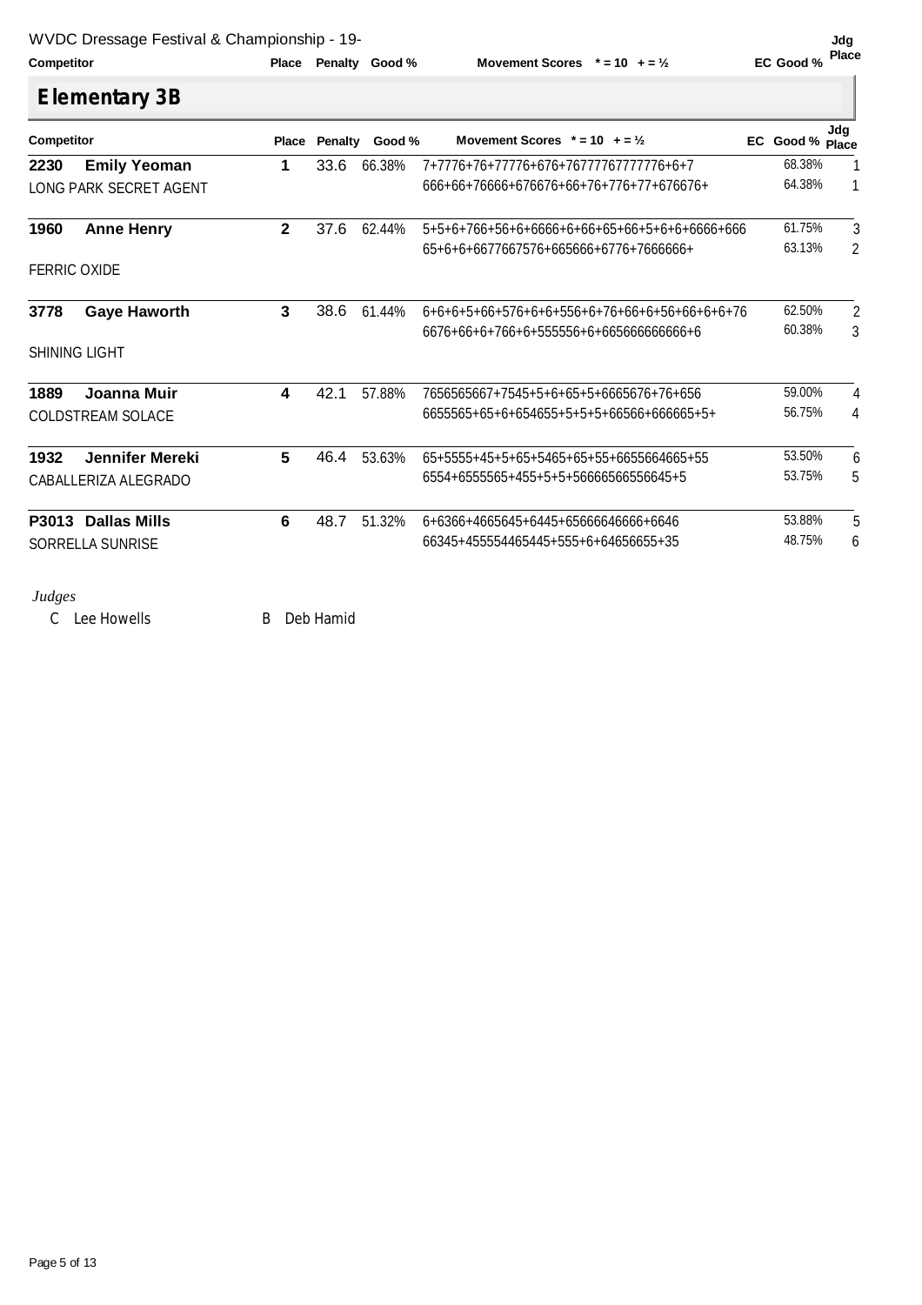**Competitor Competition Place Penalty Good**%

**Movement Scores**  $* = 10 + 5\frac{1}{2}$ 

ľ

| <b>Competitor</b>   |                          |              |      | Place Penalty Good % | Movement Scores $* = 10 + 2\frac{1}{2}$       | EC Good % Place | Jdg            |
|---------------------|--------------------------|--------------|------|----------------------|-----------------------------------------------|-----------------|----------------|
| 2230                | <b>Emily Yeoman</b>      | 1            | 33.6 | 66.38%               | 7+7776+76+77776+676+76777767777776+6+7        | 68.38%          | 1              |
|                     | LONG PARK SECRET AGENT   |              |      |                      | 666+66+76666+676676+66+76+776+77+676676+      | 64.38%          | 1              |
| 1960                | <b>Anne Henry</b>        | $\mathbf{2}$ | 37.6 | 62.44%               | 5+5+6+766+56+6+6666+6+66+65+66+5+6+6+6666+666 | 61.75%          | 3              |
|                     |                          |              |      |                      | 65+6+6+6677667576+665666+6776+7666666+        | 63.13%          | $\overline{2}$ |
| <b>FERRIC OXIDE</b> |                          |              |      |                      |                                               |                 |                |
| 3778                | <b>Gaye Haworth</b>      | 3            | 38.6 | 61.44%               | 6+6+6+5+66+576+6+6+556+6+76+66+6+56+66+6+6+76 | 62.50%          | $\overline{2}$ |
|                     |                          |              |      |                      | 6676+66+6+766+6+555556+6+665666666666+6       | 60.38%          | 3              |
|                     | SHINING LIGHT            |              |      |                      |                                               |                 |                |
| 1889                | Joanna Muir              | 4            | 42.1 | 57.88%               | 7656565667+7545+5+6+65+5+6665676+76+656       | 59.00%          | 4              |
|                     | <b>COLDSTREAM SOLACE</b> |              |      |                      | 6655565+65+6+654655+5+5+5+66566+666665+5+     | 56.75%          | 4              |
| 1932                | <b>Jennifer Mereki</b>   | 5            | 46.4 | 53.63%               | 65+5555+45+5+65+5465+65+55+6655664665+55      | 53.50%          | 6              |
|                     | CABALLERIZA ALEGRADO     |              |      |                      | 6554+6555565+455+5+5+56666566556645+5         | 53.75%          | 5              |
|                     | P3013 Dallas Mills       | 6            | 48.7 | 51.32%               | 6+6366+4665645+6445+65666646666+6646          | 53.88%          | 5              |
|                     | <b>SORRELLA SUNRISE</b>  |              |      |                      | 66345+455554465445+555+6+64656655+35          | 48.75%          | 6              |

C Lee Howells B Deb Hamid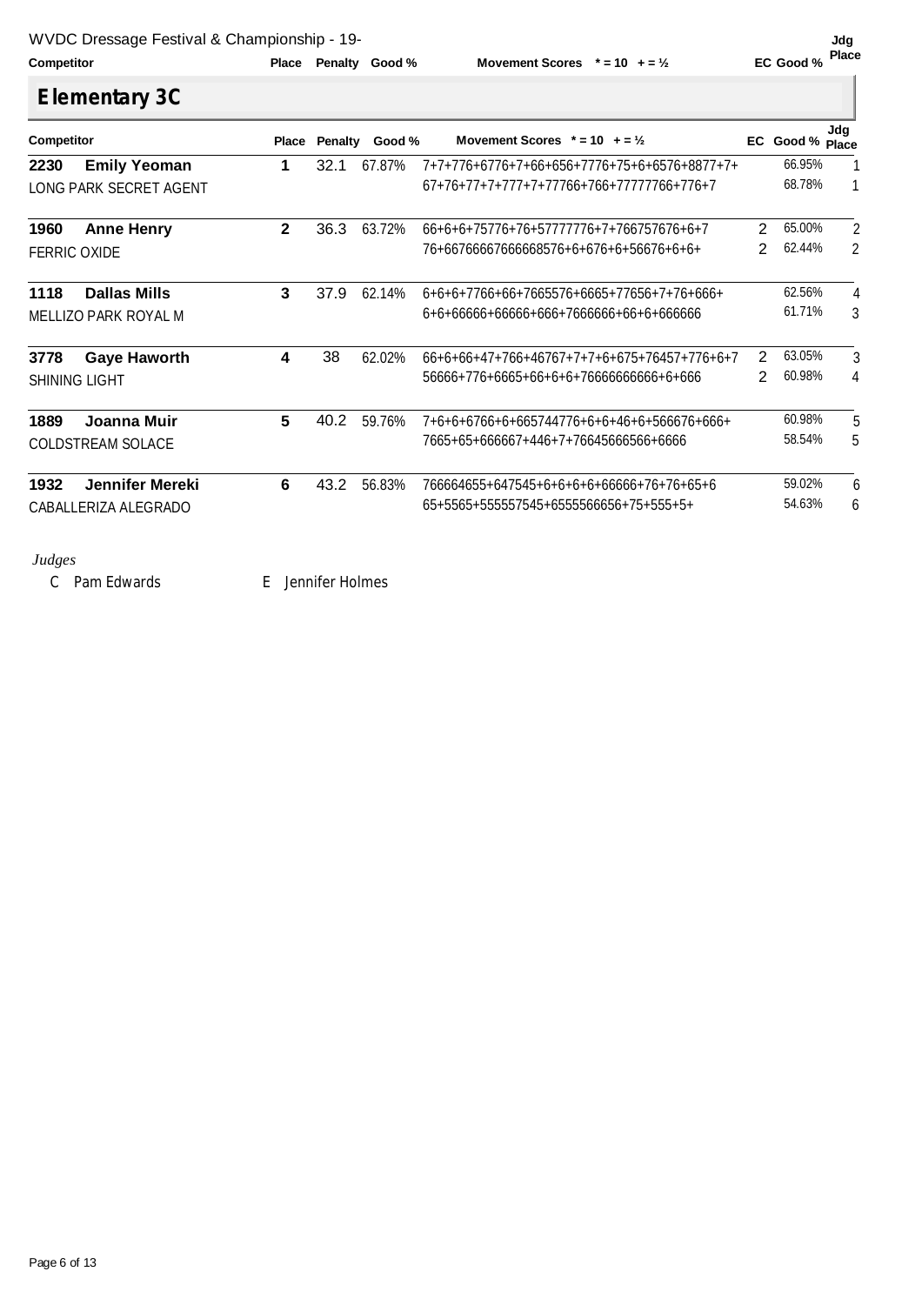**Competitor Competition Place Penalty Good**%

**Movement Scores**  $* = 10 + 2\frac{1}{2}$ 

| <b>Elementary 3C</b> |  |
|----------------------|--|
|                      |  |

| Competitor |                             | <b>Place</b> | <b>Penalty</b> | Good % | Movement Scores $* = 10 + 2\frac{1}{2}$        | EC | Good % Place | Jdg |
|------------|-----------------------------|--------------|----------------|--------|------------------------------------------------|----|--------------|-----|
| 2230       | <b>Emily Yeoman</b>         |              | 32.1           | 67.87% | 7+7+776+6776+7+66+656+7776+75+6+6576+8877+7+   |    | 66.95%       |     |
|            | LONG PARK SECRET AGENT      |              |                |        | $67+76+77+7+777+7+77766+766+77777766+776+7$    |    | 68.78%       |     |
| 1960       | <b>Anne Henry</b>           | $\mathbf{2}$ | 36.3           | 63.72% | 66+6+6+75776+76+57777776+7+766757676+6+7       | 2  | 65.00%       | 2   |
|            | <b>FERRIC OXIDE</b>         |              |                |        | 76+66766667666668576+6+676+6+56676+6+6+        | 2  | 62.44%       | 2   |
| 1118       | <b>Dallas Mills</b>         | 3            | 37.9           | 62.14% | $6+6+6+7766+66+7665576+6665+77656+7+76+666+$   |    | 62.56%       | 4   |
|            | <b>MELLIZO PARK ROYAL M</b> |              |                |        | 6+6+66666+6666+666+7666666+66+6+666666         |    | 61.71%       | 3   |
| 3778       | <b>Gaye Haworth</b>         | 4            | 38             | 62.02% | $66+6+66+47+766+46767+7+7+6+675+76457+776+6+7$ | 2  | 63.05%       | 3   |
|            | <b>SHINING LIGHT</b>        |              |                |        | 56666+776+6665+66+6+6+76666666666+6+666        | 2  | 60.98%       | 4   |
| 1889       | Joanna Muir                 | 5            | 40.2           | 59.76% | 7+6+6+6766+6+665744776+6+6+46+6+566676+666+    |    | 60.98%       | 5   |
|            | <b>COLDSTREAM SOLACE</b>    |              |                |        | 7665+65+666667+446+7+76645666566+6666          |    | 58.54%       | 5   |
| 1932       | Jennifer Mereki             | 6            | 43.2           | 56.83% | 766664655+647545+6+6+6+6+66666+76+76+65+6      |    | 59.02%       | 6   |
|            | CABALLERIZA ALEGRADO        |              |                |        | 65+5565+555557545+6555566656+75+555+5+         |    | 54.63%       | 6   |

*Judges* 

C Pam Edwards E Jennifer Holmes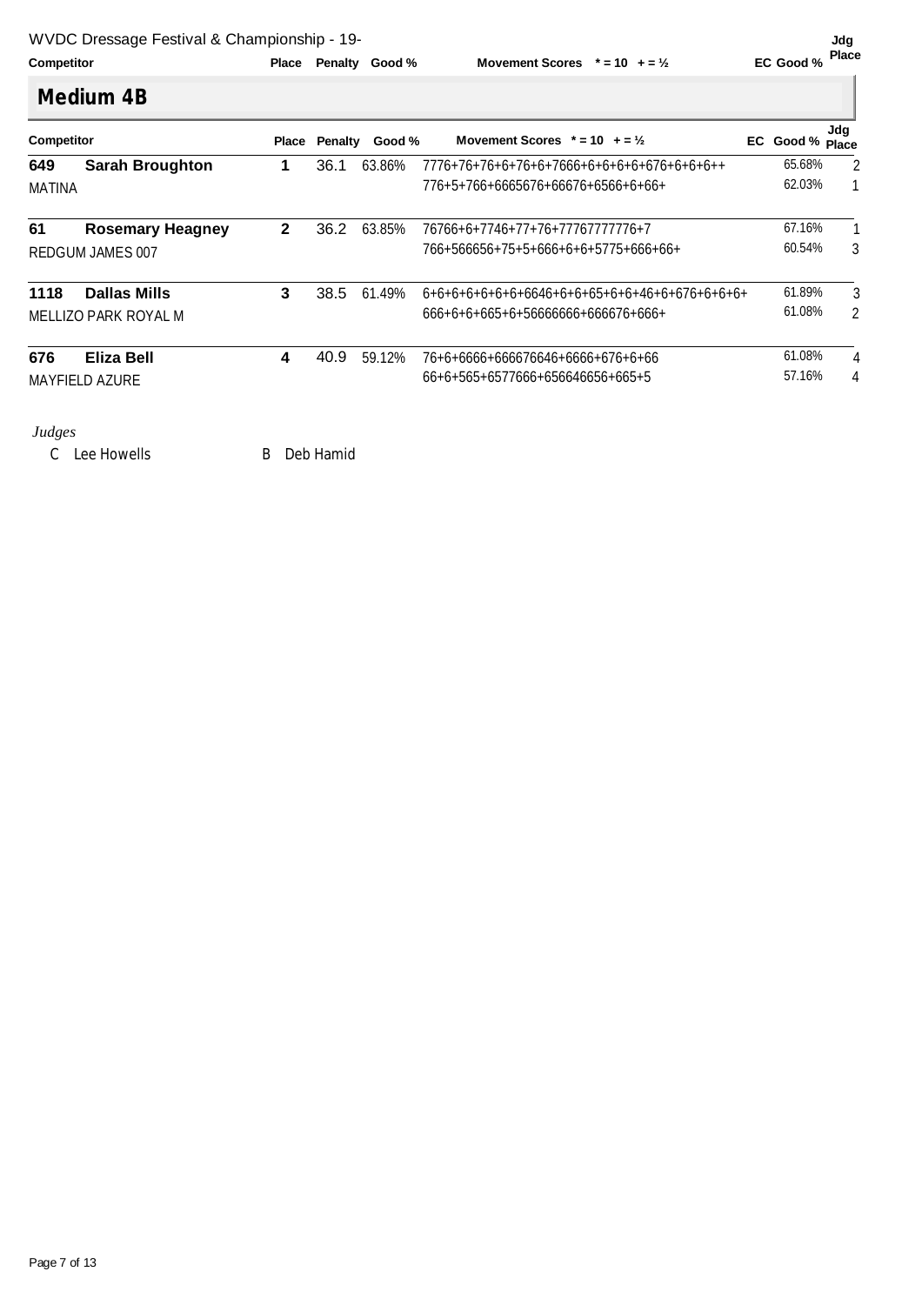| Competitor | <b>Place Penalty</b> |  |
|------------|----------------------|--|

**Place Place Place Movement Scores**  $* = 10 + 2$  **Place EC Good** % **Place Place** 

| <b>Competitor</b> |                         | <b>Place</b> | Penalty | Good % | Movement Scores $* = 10 + 2\frac{1}{2}$    | EC Good % Place | Jdg            |
|-------------------|-------------------------|--------------|---------|--------|--------------------------------------------|-----------------|----------------|
| 649               | <b>Sarah Broughton</b>  | 1            | 36.1    | 63.86% | 7776+76+76+6+76+6+7666+6+6+6+6+676+6+6+6++ | 65.68%          | $\overline{2}$ |
| MATINA            |                         |              |         |        | 776+5+766+6665676+66676+6566+6+66+         | 62.03%          |                |
| 61                | <b>Rosemary Heagney</b> | $\mathbf{2}$ | 36.2    | 63.85% | 76766+6+7746+77+76+77767777776+7           | 67.16%          | 1              |
|                   | REDGUM JAMES 007        |              |         |        | 766+566656+75+5+666+6+6+5775+666+66+       | 60.54%          | 3              |
| 1118              | <b>Dallas Mills</b>     | 3            | 38.5    | 61.49% |                                            | 61.89%          | 3              |
|                   | MELLIZO PARK ROYAL M    |              |         |        | 666+6+6+665+6+56666666+666676+666+         | 61.08%          | 2              |
| 676               | Eliza Bell              | 4            | 40.9    | 59.12% | 76+6+6666+666676646+6666+676+6+66          | 61.08%          | 4              |
|                   | <b>MAYFIELD AZURE</b>   |              |         |        | 66+6+565+6577666+656646656+665+5           | 57.16%          | 4              |

C Lee Howells B Deb Hamid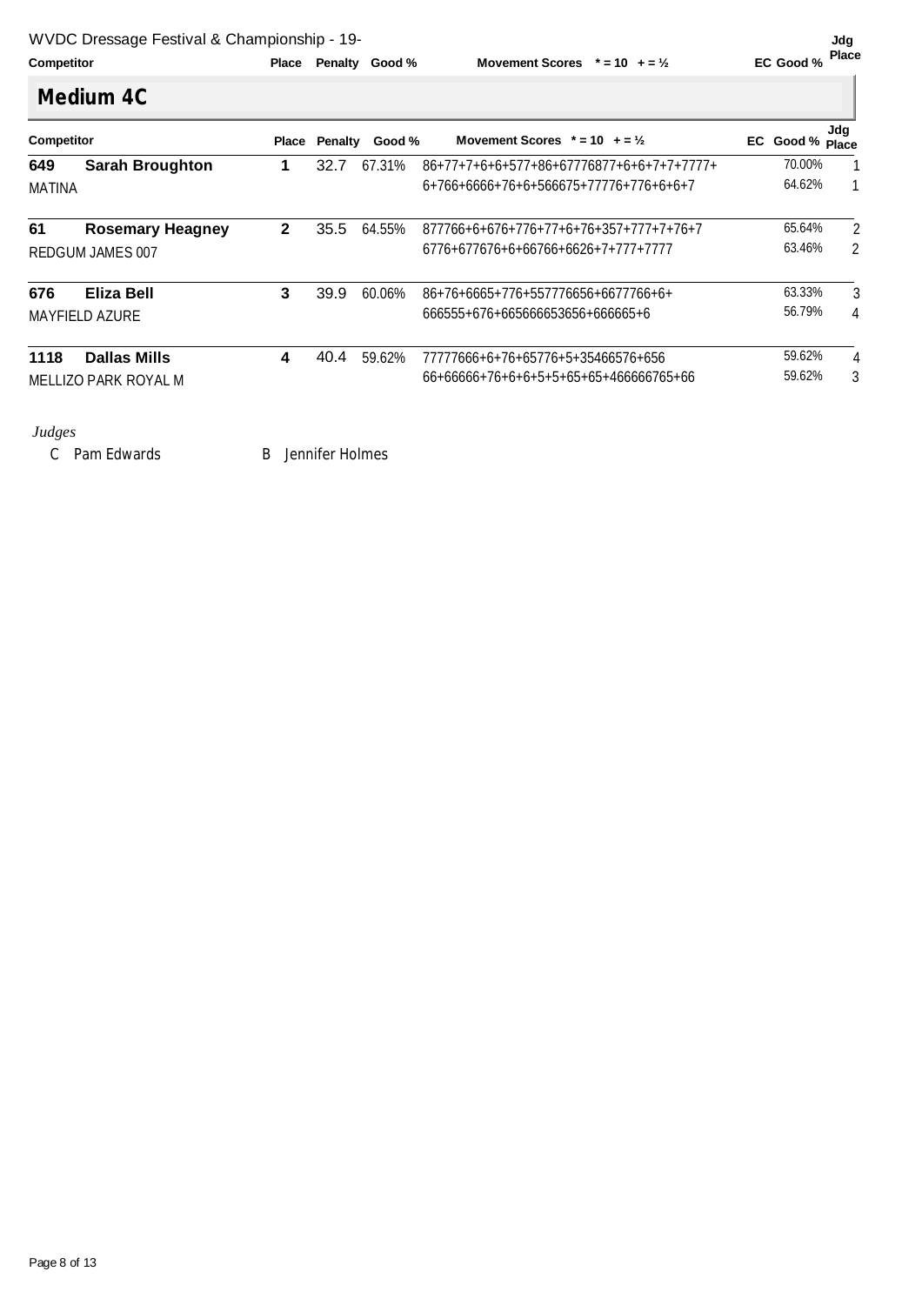| Competitor | <b>Place Penalty</b> |
|------------|----------------------|

**Place Place Place Movement Scores**  $* = 10 + 5\frac{y}{2}$  **EC Good** % **Place** 

|               | <b>Competitor</b>       |              | Penalty<br>Place | Good % | EC Good % Place                             | Jdq    |   |
|---------------|-------------------------|--------------|------------------|--------|---------------------------------------------|--------|---|
| 649           | <b>Sarah Broughton</b>  | 1.           | 32.7             | 67.31% | $86+77+7+6+6+577+86+67776877+6+6+7+7+7777+$ | 70.00% | 1 |
| <b>MATINA</b> |                         |              |                  |        | 6+766+6666+76+6+566675+77776+776+6+6+7      | 64.62% | 1 |
| 61            | <b>Rosemary Heagney</b> | $\mathbf{2}$ | 35.5             | 64.55% | $877766+6+676+776+77+6+76+357+777+7+76+7$   | 65.64% | 2 |
|               | <b>REDGUM JAMES 007</b> |              |                  |        | 6776+677676+6+66766+6626+7+777+7777         | 63.46% | 2 |
| 676           | Eliza Bell              | 3            | 39.9             | 60.06% | 86+76+6665+776+557776656+6677766+6+         | 63.33% | 3 |
|               | <b>MAYFIELD AZURE</b>   |              |                  |        | 666555+676+665666653656+666665+6            | 56.79% | 4 |
| 1118          | <b>Dallas Mills</b>     | 4            | 40.4             | 59.62% | 77777666+6+76+65776+5+35466576+656          | 59.62% | 4 |
|               | MELLIZO PARK ROYAL M    |              |                  |        | 66+66666+76+6+6+5+5+65+65+466666765+66      | 59.62% | 3 |

*Judges* 

C Pam Edwards B Jennifer Holmes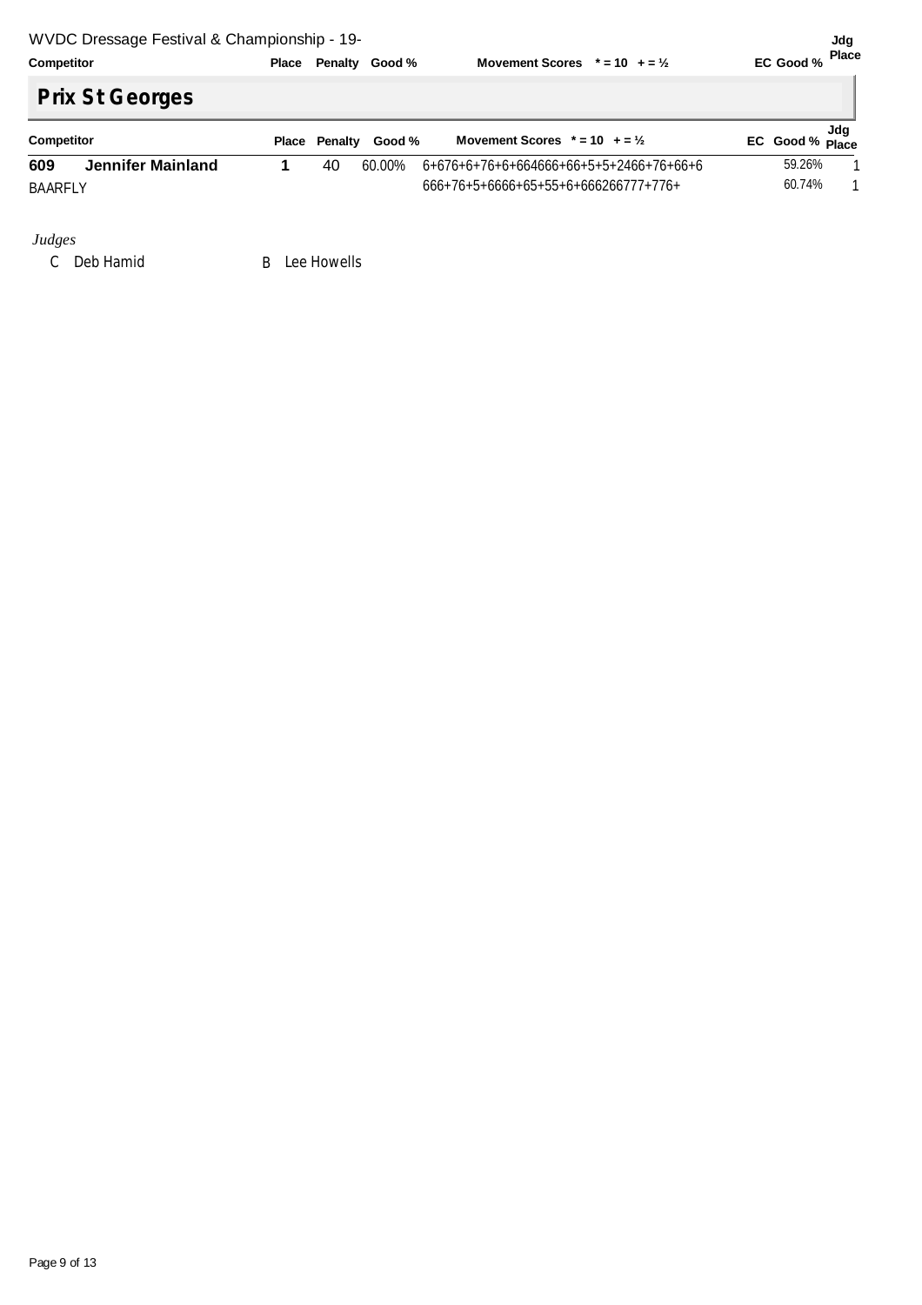|            | and the contract of the contract of the contract of the contract of the contract of the contract of the contract of |  |                      |                                         |                 |
|------------|---------------------------------------------------------------------------------------------------------------------|--|----------------------|-----------------------------------------|-----------------|
| Competitor |                                                                                                                     |  | Place Penalty Good % | Movement Scores $* = 10 + 2\frac{1}{2}$ | EC Good % Place |
|            |                                                                                                                     |  |                      |                                         |                 |

# **Prix St Georges**

| Competitor |                   | <b>Place Penalty</b> | Good % | Movement Scores $* = 10 + 2\frac{1}{2}$ | EC Good % Place | Jda |
|------------|-------------------|----------------------|--------|-----------------------------------------|-----------------|-----|
| 609        | Jennifer Mainland | 40                   | 60.00% | 6+676+6+76+6+664666+66+5+5+2466+76+66+6 | 59.26%          |     |
| BAARFLY    |                   |                      |        | $666+76+5+6666+65+55+6+666266777+776+$  | 60.74%          |     |

**Jdg** 

*Judges* 

C Deb Hamid B Lee Howells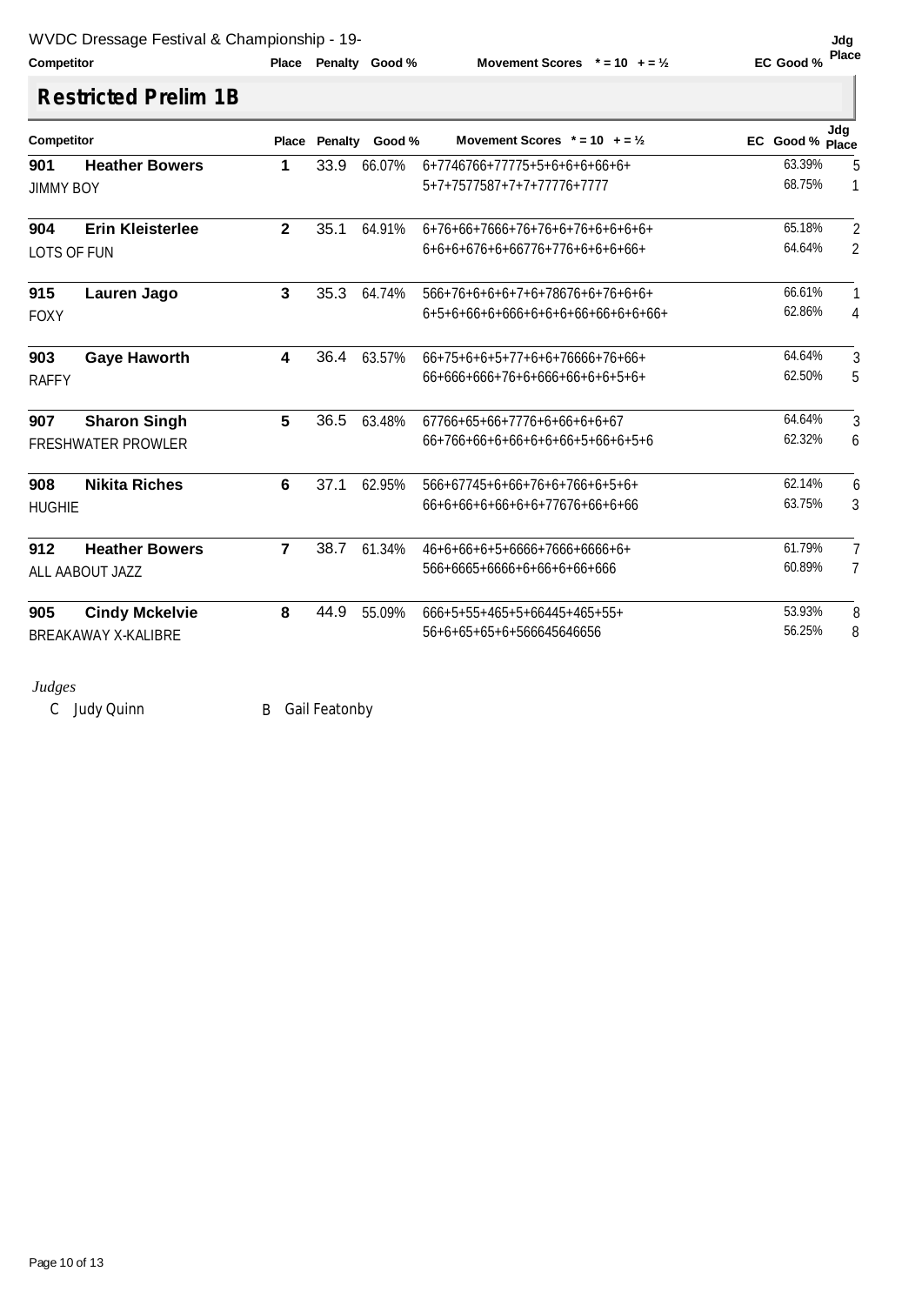### **Competitor Competition Place Penalty Good**%

**Movement Scores**  $* = 10 + 2\frac{1}{2}$ 

# **Restricted Prelim 1B**

| Competitor       |                            | Place                   | Penalty | Good % | Movement Scores $* = 10 + 2\frac{1}{2}$ | EC Good % Place | Jdq             |
|------------------|----------------------------|-------------------------|---------|--------|-----------------------------------------|-----------------|-----------------|
| 901              | <b>Heather Bowers</b>      | 1                       | 33.9    | 66.07% | 6+7746766+77775+5+6+6+6+66+6+           | 63.39%          | $5\phantom{.0}$ |
| <b>JIMMY BOY</b> |                            |                         |         |        | 5+7+7577587+7+7+77776+7777              | 68.75%          | $\mathbf{1}$    |
| 904              | <b>Erin Kleisterlee</b>    | $\overline{\mathbf{2}}$ | 35.1    | 64.91% | $6+76+66+7666+76+76+6+76+6+6+6+6+$      | 65.18%          | $\overline{2}$  |
| LOTS OF FUN      |                            |                         |         |        | $6+6+6+676+6+66776+776+6+6+6+6+6+$      | 64.64%          | $\overline{2}$  |
| 915              | Lauren Jago                | 3                       | 35.3    | 64.74% | 566+76+6+6+6+7+6+78676+6+76+6+6+        | 66.61%          |                 |
| <b>FOXY</b>      |                            |                         |         |        | $6+5+6+66+6+66+6+6+6+6+6+6+6+6+6+6+$    | 62.86%          | 4               |
| 903              | <b>Gaye Haworth</b>        | 4                       | 36.4    | 63.57% | $66+75+6+6+5+77+6+6+7666+76+66+$        | 64.64%          | 3               |
| <b>RAFFY</b>     |                            |                         |         |        | $66+666+666+76+6+66+6+6+6+5+6+$         | 62.50%          | 5               |
| 907              | <b>Sharon Singh</b>        | 5                       | 36.5    | 63.48% | 67766+65+66+7776+6+66+6+6+67            | 64.64%          | 3               |
|                  | <b>FRESHWATER PROWLER</b>  |                         |         |        | 66+766+66+6+6+6+6+6+5+66+6+5+6          | 62.32%          | 6               |
| 908              | <b>Nikita Riches</b>       | 6                       | 37.1    | 62.95% | $566+67745+6+66+76+6+766+6+5+6+$        | 62.14%          | 6               |
| <b>HUGHIE</b>    |                            |                         |         |        | 66+6+66+6+66+6+6+77676+66+6+66          | 63.75%          | 3               |
| 912              | <b>Heather Bowers</b>      | $\overline{7}$          | 38.7    | 61.34% | $46+6+66+6+5+6666+7666+6666+6+$         | 61.79%          | 7               |
|                  | ALL AABOUT JAZZ            |                         |         |        | 566+6665+6666+6+66+6+66+666             | 60.89%          | 7               |
| 905              | <b>Cindy Mckelvie</b>      | 8                       | 44.9    | 55.09% | 666+5+55+465+5+66445+465+55+            | 53.93%          | 8               |
|                  | <b>BREAKAWAY X-KALIBRE</b> |                         |         |        | 56+6+65+65+6+566645646656               | 56.25%          | 8               |

### *Judges*

C Judy Quinn B Gail Featonby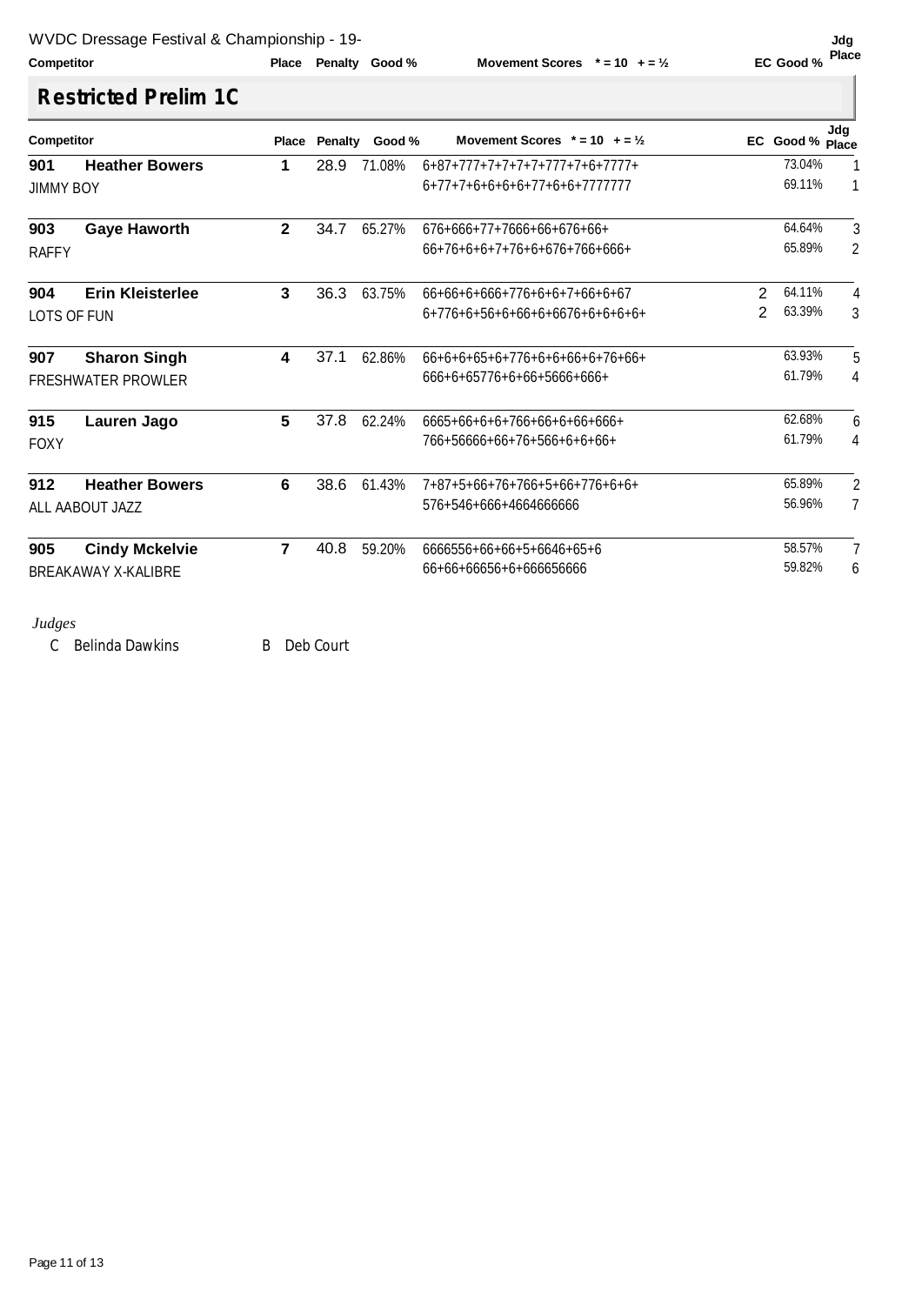### **Competitor Competition Place Penalty Good** %

**Movement Scores**  $* = 10 + 2\frac{1}{2}$ 

# **Restricted Prelim 1C**

| 71.08%<br>65.27%<br>63.75% | $6+87+777+7+7+7+7+777+7+6+7777+$<br>6+77+7+6+6+6+6+77+6+6+7777777<br>$676+666+77+7666+66+676+66+$<br>$66+76+6+6+7+76+6+676+766+666+$<br>66+66+6+666+776+6+6+7+66+6+67<br>6+776+6+56+6+66+6+6676+6+6+6+6+ | 2<br>2 | 73.04%<br>69.11%<br>64.64%<br>65.89%<br>64.11% | 1<br>$\mathbf{1}$ |
|----------------------------|----------------------------------------------------------------------------------------------------------------------------------------------------------------------------------------------------------|--------|------------------------------------------------|-------------------|
|                            |                                                                                                                                                                                                          |        |                                                | 3<br>2<br>4       |
|                            |                                                                                                                                                                                                          |        |                                                |                   |
|                            |                                                                                                                                                                                                          |        |                                                |                   |
|                            |                                                                                                                                                                                                          |        |                                                |                   |
|                            |                                                                                                                                                                                                          |        |                                                |                   |
|                            |                                                                                                                                                                                                          |        | 63.39%                                         | 3                 |
| 62.86%                     | $66+6+6+65+6+776+6+6+6+6+76+66+$                                                                                                                                                                         |        | 63.93%                                         | 5                 |
|                            | 666+6+65776+6+66+5666+666+                                                                                                                                                                               |        | 61.79%                                         | 4                 |
| 62.24%                     | 6665+66+6+6+766+66+6+66+666+                                                                                                                                                                             |        | 62.68%                                         | 6                 |
|                            | 766+56666+66+76+566+6+6+66+                                                                                                                                                                              |        | 61.79%                                         | 4                 |
| 61.43%                     | 7+87+5+66+76+766+5+66+776+6+6+                                                                                                                                                                           |        | 65.89%                                         | $\overline{2}$    |
|                            | 576+546+666+4664666666                                                                                                                                                                                   |        | 56.96%                                         | $\overline{7}$    |
| 59.20%                     | 6666556+66+66+5+6646+65+6                                                                                                                                                                                |        |                                                | 7                 |
|                            | 66+66+66656+6+666656666                                                                                                                                                                                  |        |                                                | 6                 |
|                            |                                                                                                                                                                                                          |        |                                                | 58.57%<br>59.82%  |

C Belinda Dawkins B Deb Court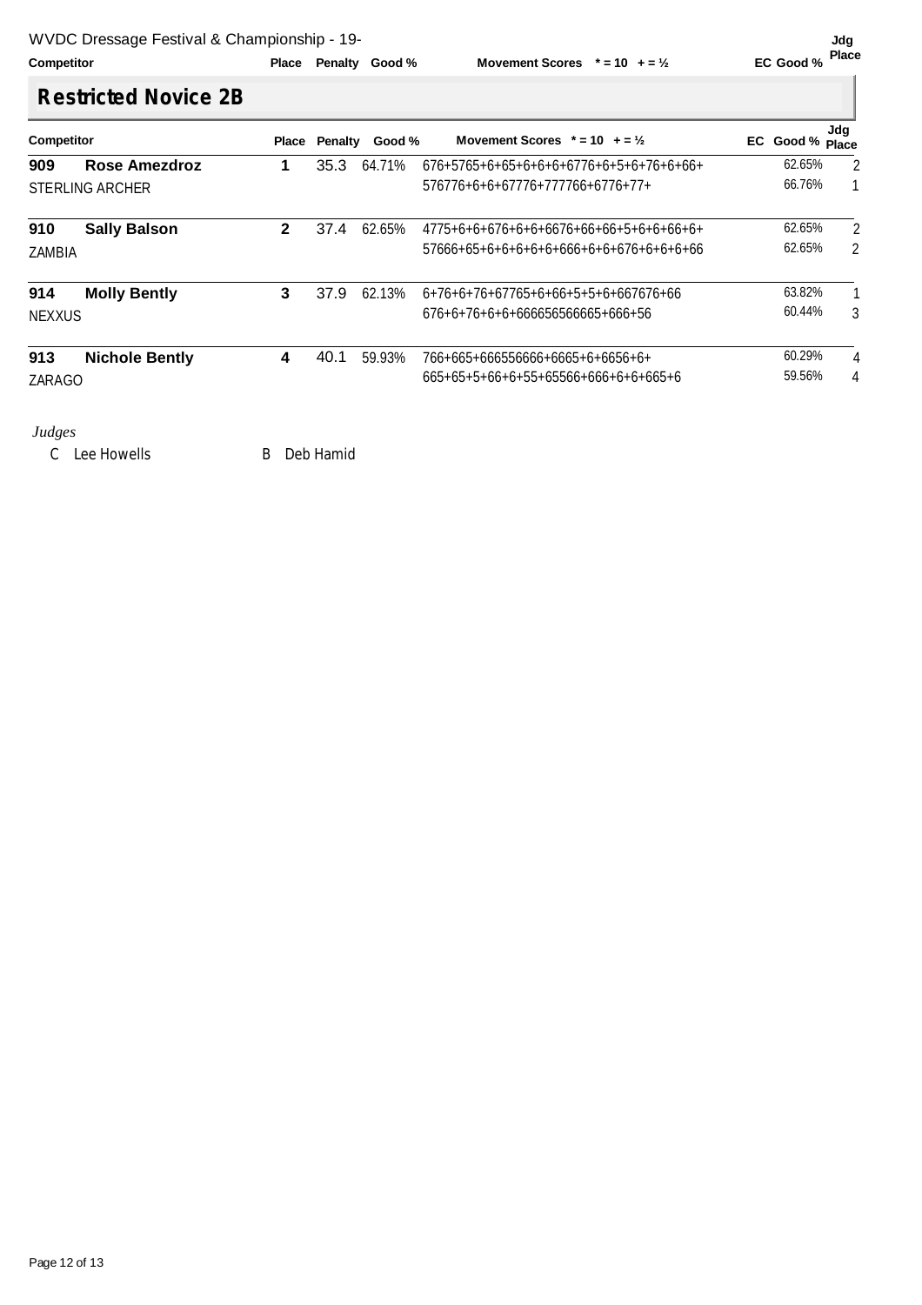**Movement Scores**  $* = 10 + 2\frac{1}{2}$ 

# **Restricted Novice 2B**

| <b>Competitor</b>      |                       | Place        | Penalty | Good % | Movement Scores $* = 10 + 2\frac{1}{2}$  | EC Good % Place | Jdg |                |
|------------------------|-----------------------|--------------|---------|--------|------------------------------------------|-----------------|-----|----------------|
| 909                    | <b>Rose Amezdroz</b>  | 1            | 35.3    | 64.71% | $676+5765+6+65+6+6+6+6776+6+5+6+76+6+6+$ | 62.65%          |     | $\overline{2}$ |
| <b>STERLING ARCHER</b> |                       |              |         |        | 576776+6+6+67776+777766+6776+77+         | 66.76%          |     |                |
| 910                    | <b>Sally Balson</b>   | $\mathbf{2}$ | 37.4    | 62.65% | $4775+6+6+676+6+6676+66+66+5+6+6+6+6+6+$ | 62.65%          |     | 2              |
| ZAMBIA                 |                       |              |         |        | 57666+65+6+6+6+6+6+666+6+6+676+6+6+6+66  | 62.65%          |     | 2              |
| 914                    | <b>Molly Bently</b>   | 3            | 37.9    | 62.13% | 6+76+6+76+67765+6+66+5+5+6+667676+66     | 63.82%          |     |                |
| <b>NEXXUS</b>          |                       |              |         |        | 676+6+76+6+6+666656566665+666+56         | 60.44%          |     | 3              |
| 913                    | <b>Nichole Bently</b> | 4            | 40.1    | 59.93% | 766+665+666556666+6665+6+6656+6+         | 60.29%          |     | $\overline{4}$ |
| ZARAGO                 |                       |              |         |        | 665+65+5+66+6+55+65566+666+6+6+665+6     | 59.56%          |     | 4              |

### *Judges*

C Lee Howells B Deb Hamid

Page 12 of 13